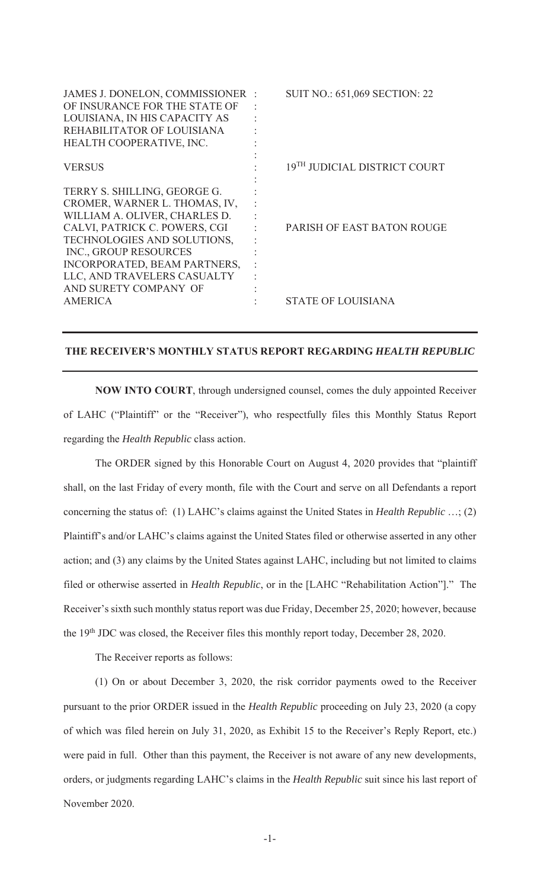| JAMES J. DONELON, COMMISSIONER<br>OF INSURANCE FOR THE STATE OF<br>LOUISIANA, IN HIS CAPACITY AS<br>REHABILITATOR OF LOUISIANA<br>HEALTH COOPERATIVE, INC.                                                                                                                      | <b>SUIT NO.: 651,069 SECTION: 22</b>     |
|---------------------------------------------------------------------------------------------------------------------------------------------------------------------------------------------------------------------------------------------------------------------------------|------------------------------------------|
| <b>VERSUS</b>                                                                                                                                                                                                                                                                   | 19 <sup>TH</sup> JUDICIAL DISTRICT COURT |
| TERRY S. SHILLING, GEORGE G.<br>CROMER, WARNER L. THOMAS, IV,<br>WILLIAM A. OLIVER, CHARLES D.<br>CALVI, PATRICK C. POWERS, CGI<br>TECHNOLOGIES AND SOLUTIONS,<br>INC., GROUP RESOURCES<br>INCORPORATED, BEAM PARTNERS,<br>LLC, AND TRAVELERS CASUALTY<br>AND SURETY COMPANY OF | PARISH OF EAST BATON ROUGE               |
| <b>AMERICA</b>                                                                                                                                                                                                                                                                  | <b>STATE OF LOUISIANA</b>                |

## **THE RECEIVER'S MONTHLY STATUS REPORT REGARDING** *HEALTH REPUBLIC*

**NOW INTO COURT**, through undersigned counsel, comes the duly appointed Receiver of LAHC ("Plaintiff" or the "Receiver"), who respectfully files this Monthly Status Report regarding the *Health Republic* class action.

The ORDER signed by this Honorable Court on August 4, 2020 provides that "plaintiff shall, on the last Friday of every month, file with the Court and serve on all Defendants a report concerning the status of: (1) LAHC's claims against the United States in *Health Republic* …; (2) Plaintiff's and/or LAHC's claims against the United States filed or otherwise asserted in any other action; and (3) any claims by the United States against LAHC, including but not limited to claims filed or otherwise asserted in *Health Republic*, or in the [LAHC "Rehabilitation Action"]." The Receiver's sixth such monthly status report was due Friday, December 25, 2020; however, because the 19<sup>th</sup> JDC was closed, the Receiver files this monthly report today, December 28, 2020.

The Receiver reports as follows:

(1) On or about December 3, 2020, the risk corridor payments owed to the Receiver pursuant to the prior ORDER issued in the *Health Republic* proceeding on July 23, 2020 (a copy of which was filed herein on July 31, 2020, as Exhibit 15 to the Receiver's Reply Report, etc.) were paid in full. Other than this payment, the Receiver is not aware of any new developments, orders, or judgments regarding LAHC's claims in the *Health Republic* suit since his last report of November 2020.